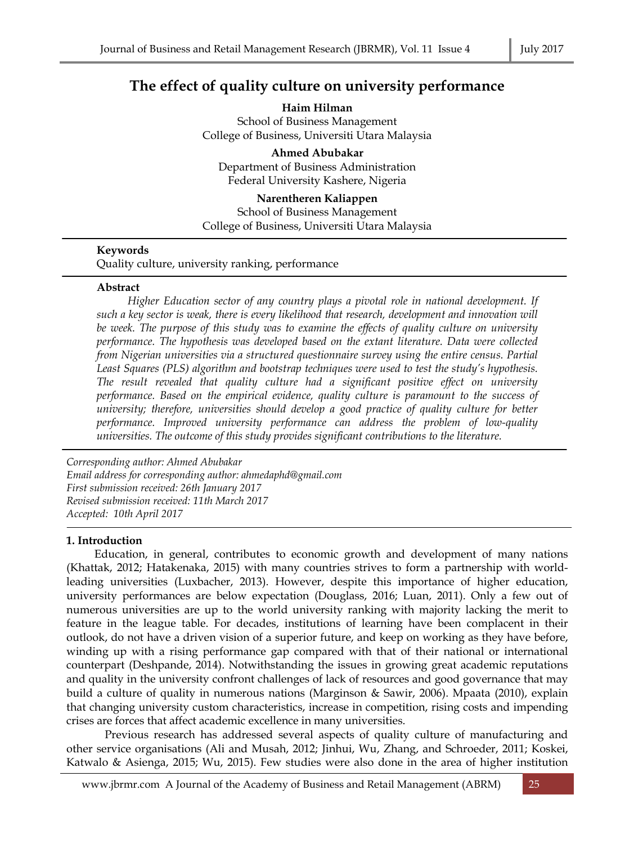# **The effect of quality culture on university performance**

**Haim Hilman**  School of Business Management College of Business, Universiti Utara Malaysia

**Ahmed Abubakar** Department of Business Administration Federal University Kashere, Nigeria

**Narentheren Kaliappen** School of Business Management College of Business, Universiti Utara Malaysia

# **Keywords**

Quality culture, university ranking, performance

# **Abstract**

 *Higher Education sector of any country plays a pivotal role in national development. If such a key sector is weak, there is every likelihood that research, development and innovation will be week. The purpose of this study was to examine the effects of quality culture on university performance. The hypothesis was developed based on the extant literature. Data were collected from Nigerian universities via a structured questionnaire survey using the entire census. Partial Least Squares (PLS) algorithm and bootstrap techniques were used to test the study's hypothesis. The result revealed that quality culture had a significant positive effect on university performance. Based on the empirical evidence, quality culture is paramount to the success of university; therefore, universities should develop a good practice of quality culture for better performance. Improved university performance can address the problem of low-quality universities. The outcome of this study provides significant contributions to the literature.*

*Corresponding author: Ahmed Abubakar Email address for corresponding author: ahmedaphd@gmail.com First submission received: 26th January 2017 Revised submission received: 11th March 2017 Accepted: 10th April 2017*

## **1. Introduction**

 Education, in general, contributes to economic growth and development of many nations (Khattak, 2012; Hatakenaka, 2015) with many countries strives to form a partnership with worldleading universities (Luxbacher, 2013). However, despite this importance of higher education, university performances are below expectation (Douglass, 2016; Luan, 2011). Only a few out of numerous universities are up to the world university ranking with majority lacking the merit to feature in the league table. For decades, institutions of learning have been complacent in their outlook, do not have a driven vision of a superior future, and keep on working as they have before, winding up with a rising performance gap compared with that of their national or international counterpart (Deshpande, 2014). Notwithstanding the issues in growing great academic reputations and quality in the university confront challenges of lack of resources and good governance that may build a culture of quality in numerous nations (Marginson & Sawir, 2006). Mpaata (2010), explain that changing university custom characteristics, increase in competition, rising costs and impending crises are forces that affect academic excellence in many universities.

 Previous research has addressed several aspects of quality culture of manufacturing and other service organisations (Ali and Musah, 2012; Jinhui, Wu, Zhang, and Schroeder, 2011; Koskei, Katwalo & Asienga, 2015; Wu, 2015). Few studies were also done in the area of higher institution

www.jbrmr.com A Journal of the Academy of Business and Retail Management (ABRM) 25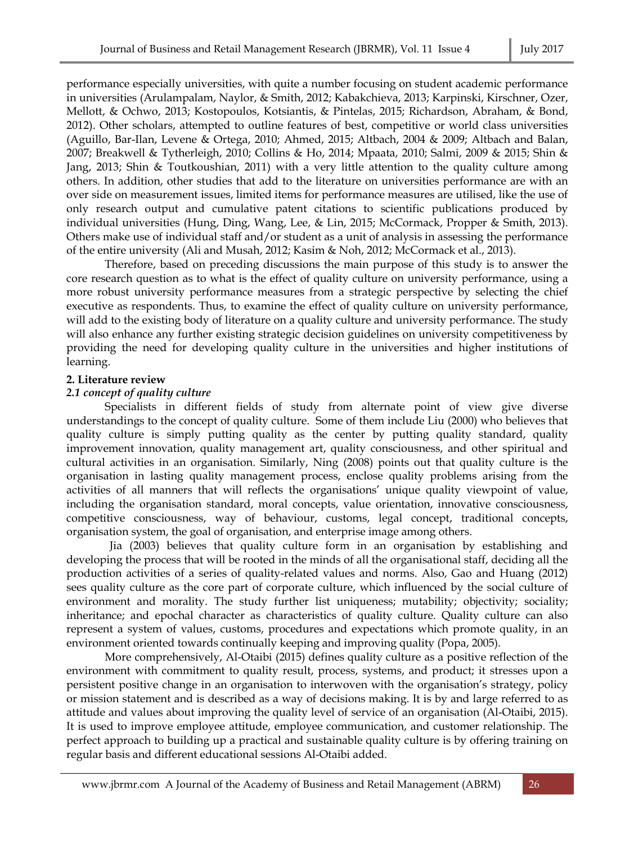performance especially universities, with quite a number focusing on student academic performance in universities (Arulampalam, Naylor, & Smith, 2012; Kabakchieva, 2013; Karpinski, Kirschner, Ozer, Mellott, & Ochwo, 2013; Kostopoulos, Kotsiantis, & Pintelas, 2015; Richardson, Abraham, & Bond, 2012). Other scholars, attempted to outline features of best, competitive or world class universities (Aguillo, Bar-Ilan, Levene & Ortega, 2010; Ahmed, 2015; Altbach, 2004 & 2009; Altbach and Balan, 2007; Breakwell & Tytherleigh, 2010; Collins & Ho, 2014; Mpaata, 2010; Salmi, 2009 & 2015; Shin & Jang, 2013; Shin & Toutkoushian, 2011) with a very little attention to the quality culture among others. In addition, other studies that add to the literature on universities performance are with an over side on measurement issues, limited items for performance measures are utilised, like the use of only research output and cumulative patent citations to scientific publications produced by individual universities (Hung, Ding, Wang, Lee, & Lin, 2015; McCormack, Propper & Smith, 2013). Others make use of individual staff and/or student as a unit of analysis in assessing the performance of the entire university (Ali and Musah, 2012; Kasim & Noh, 2012; McCormack et al., 2013).

 Therefore, based on preceding discussions the main purpose of this study is to answer the core research question as to what is the effect of quality culture on university performance, using a more robust university performance measures from a strategic perspective by selecting the chief executive as respondents. Thus, to examine the effect of quality culture on university performance, will add to the existing body of literature on a quality culture and university performance. The study will also enhance any further existing strategic decision guidelines on university competitiveness by providing the need for developing quality culture in the universities and higher institutions of learning.

# **2. Literature review**

# *2.1 concept of quality culture*

 Specialists in different fields of study from alternate point of view give diverse understandings to the concept of quality culture. Some of them include Liu (2000) who believes that quality culture is simply putting quality as the center by putting quality standard, quality improvement innovation, quality management art, quality consciousness, and other spiritual and cultural activities in an organisation. Similarly, Ning (2008) points out that quality culture is the organisation in lasting quality management process, enclose quality problems arising from the activities of all manners that will reflects the organisations' unique quality viewpoint of value, including the organisation standard, moral concepts, value orientation, innovative consciousness, competitive consciousness, way of behaviour, customs, legal concept, traditional concepts, organisation system, the goal of organisation, and enterprise image among others.

 Jia (2003) believes that quality culture form in an organisation by establishing and developing the process that will be rooted in the minds of all the organisational staff, deciding all the production activities of a series of quality-related values and norms. Also, Gao and Huang (2012) sees quality culture as the core part of corporate culture, which influenced by the social culture of environment and morality. The study further list uniqueness; mutability; objectivity; sociality; inheritance; and epochal character as characteristics of quality culture. Quality culture can also represent a system of values, customs, procedures and expectations which promote quality, in an environment oriented towards continually keeping and improving quality (Popa, 2005).

 More comprehensively, Al-Otaibi (2015) defines quality culture as a positive reflection of the environment with commitment to quality result, process, systems, and product; it stresses upon a persistent positive change in an organisation to interwoven with the organisation's strategy, policy or mission statement and is described as a way of decisions making. It is by and large referred to as attitude and values about improving the quality level of service of an organisation (Al-Otaibi, 2015). It is used to improve employee attitude, employee communication, and customer relationship. The perfect approach to building up a practical and sustainable quality culture is by offering training on regular basis and different educational sessions Al-Otaibi added.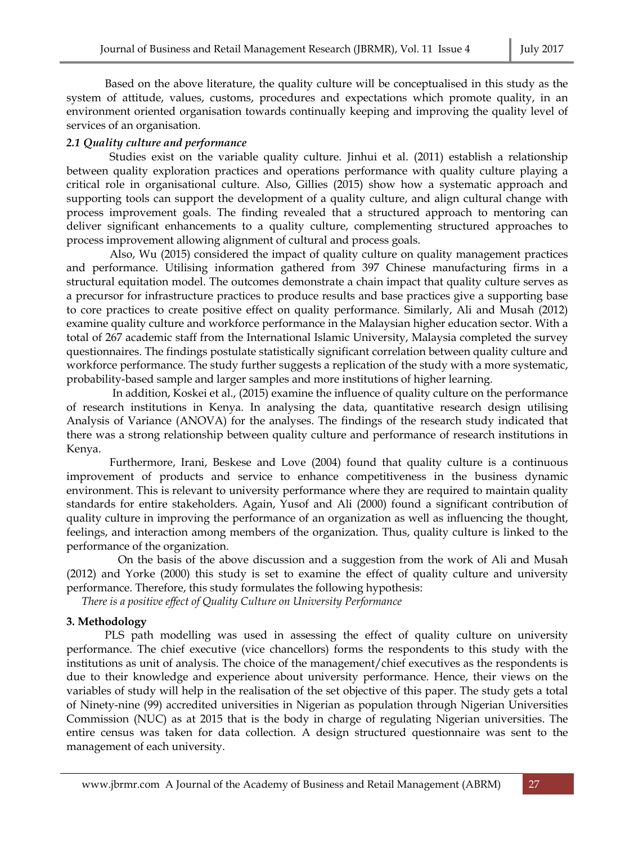Based on the above literature, the quality culture will be conceptualised in this study as the system of attitude, values, customs, procedures and expectations which promote quality, in an environment oriented organisation towards continually keeping and improving the quality level of services of an organisation.

# *2.1 Quality culture and performance*

 Studies exist on the variable quality culture. Jinhui et al. (2011) establish a relationship between quality exploration practices and operations performance with quality culture playing a critical role in organisational culture. Also, Gillies (2015) show how a systematic approach and supporting tools can support the development of a quality culture, and align cultural change with process improvement goals. The finding revealed that a structured approach to mentoring can deliver significant enhancements to a quality culture, complementing structured approaches to process improvement allowing alignment of cultural and process goals.

 Also, Wu (2015) considered the impact of quality culture on quality management practices and performance. Utilising information gathered from 397 Chinese manufacturing firms in a structural equitation model. The outcomes demonstrate a chain impact that quality culture serves as a precursor for infrastructure practices to produce results and base practices give a supporting base to core practices to create positive effect on quality performance. Similarly, Ali and Musah (2012) examine quality culture and workforce performance in the Malaysian higher education sector. With a total of 267 academic staff from the International Islamic University, Malaysia completed the survey questionnaires. The findings postulate statistically significant correlation between quality culture and workforce performance. The study further suggests a replication of the study with a more systematic, probability-based sample and larger samples and more institutions of higher learning.

 In addition, Koskei et al., (2015) examine the influence of quality culture on the performance of research institutions in Kenya. In analysing the data, quantitative research design utilising Analysis of Variance (ANOVA) for the analyses. The findings of the research study indicated that there was a strong relationship between quality culture and performance of research institutions in Kenya.

 Furthermore, Irani, Beskese and Love (2004) found that quality culture is a continuous improvement of products and service to enhance competitiveness in the business dynamic environment. This is relevant to university performance where they are required to maintain quality standards for entire stakeholders. Again, Yusof and Ali (2000) found a significant contribution of quality culture in improving the performance of an organization as well as influencing the thought, feelings, and interaction among members of the organization. Thus, quality culture is linked to the performance of the organization.

 On the basis of the above discussion and a suggestion from the work of Ali and Musah (2012) and Yorke (2000) this study is set to examine the effect of quality culture and university performance. Therefore, this study formulates the following hypothesis:

*There is a positive effect of Quality Culture on University Performance* 

# **3. Methodology**

 PLS path modelling was used in assessing the effect of quality culture on university performance. The chief executive (vice chancellors) forms the respondents to this study with the institutions as unit of analysis. The choice of the management/chief executives as the respondents is due to their knowledge and experience about university performance. Hence, their views on the variables of study will help in the realisation of the set objective of this paper. The study gets a total of Ninety-nine (99) accredited universities in Nigerian as population through Nigerian Universities Commission (NUC) as at 2015 that is the body in charge of regulating Nigerian universities. The entire census was taken for data collection. A design structured questionnaire was sent to the management of each university.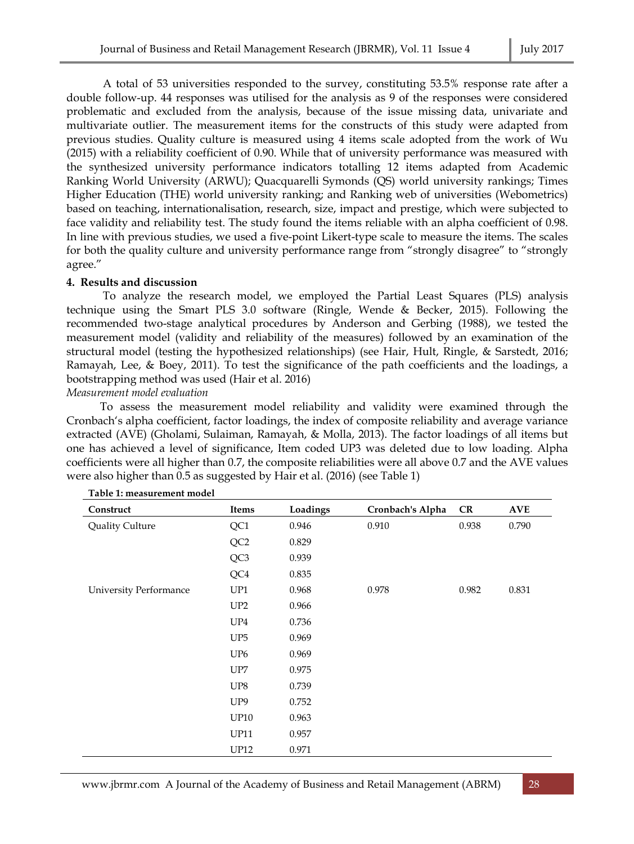A total of 53 universities responded to the survey, constituting 53.5% response rate after a double follow-up. 44 responses was utilised for the analysis as 9 of the responses were considered problematic and excluded from the analysis, because of the issue missing data, univariate and multivariate outlier. The measurement items for the constructs of this study were adapted from previous studies. Quality culture is measured using 4 items scale adopted from the work of Wu (2015) with a reliability coefficient of 0.90. While that of university performance was measured with the synthesized university performance indicators totalling 12 items adapted from Academic Ranking World University (ARWU); Quacquarelli Symonds (QS) world university rankings; Times Higher Education (THE) world university ranking; and Ranking web of universities (Webometrics) based on teaching, internationalisation, research, size, impact and prestige, which were subjected to face validity and reliability test. The study found the items reliable with an alpha coefficient of 0.98. In line with previous studies, we used a five-point Likert-type scale to measure the items. The scales for both the quality culture and university performance range from "strongly disagree" to "strongly agree."

#### **4. Results and discussion**

 To analyze the research model, we employed the Partial Least Squares (PLS) analysis technique using the Smart PLS 3.0 software (Ringle, Wende & Becker, 2015). Following the recommended two-stage analytical procedures by Anderson and Gerbing (1988), we tested the measurement model (validity and reliability of the measures) followed by an examination of the structural model (testing the hypothesized relationships) (see Hair, Hult, Ringle, & Sarstedt, 2016; Ramayah, Lee, & Boey, 2011). To test the significance of the path coefficients and the loadings, a bootstrapping method was used (Hair et al. 2016)

*Measurement model evaluation* 

 To assess the measurement model reliability and validity were examined through the Cronbach's alpha coefficient, factor loadings, the index of composite reliability and average variance extracted (AVE) (Gholami, Sulaiman, Ramayah, & Molla, 2013). The factor loadings of all items but one has achieved a level of significance, Item coded UP3 was deleted due to low loading. Alpha coefficients were all higher than 0.7, the composite reliabilities were all above 0.7 and the AVE values were also higher than 0.5 as suggested by Hair et al. (2016) (see Table 1)

| Construct                     | Items           | Loadings | Cronbach's Alpha | CR    | $\bold{AVE}$ |
|-------------------------------|-----------------|----------|------------------|-------|--------------|
| Quality Culture               | QC1             | 0.946    | 0.910            | 0.938 | 0.790        |
|                               | QC <sub>2</sub> | 0.829    |                  |       |              |
|                               | QC3             | 0.939    |                  |       |              |
|                               | QC4             | 0.835    |                  |       |              |
| <b>University Performance</b> | UP1             | 0.968    | 0.978            | 0.982 | 0.831        |
|                               | UP2             | 0.966    |                  |       |              |
|                               | UP <sub>4</sub> | 0.736    |                  |       |              |
|                               | UP <sub>5</sub> | 0.969    |                  |       |              |
|                               | UP <sub>6</sub> | 0.969    |                  |       |              |
|                               | UP7             | 0.975    |                  |       |              |
|                               | UP8             | 0.739    |                  |       |              |
|                               | UP <sub>9</sub> | 0.752    |                  |       |              |
|                               | <b>UP10</b>     | 0.963    |                  |       |              |
|                               | <b>UP11</b>     | 0.957    |                  |       |              |
|                               | <b>UP12</b>     | 0.971    |                  |       |              |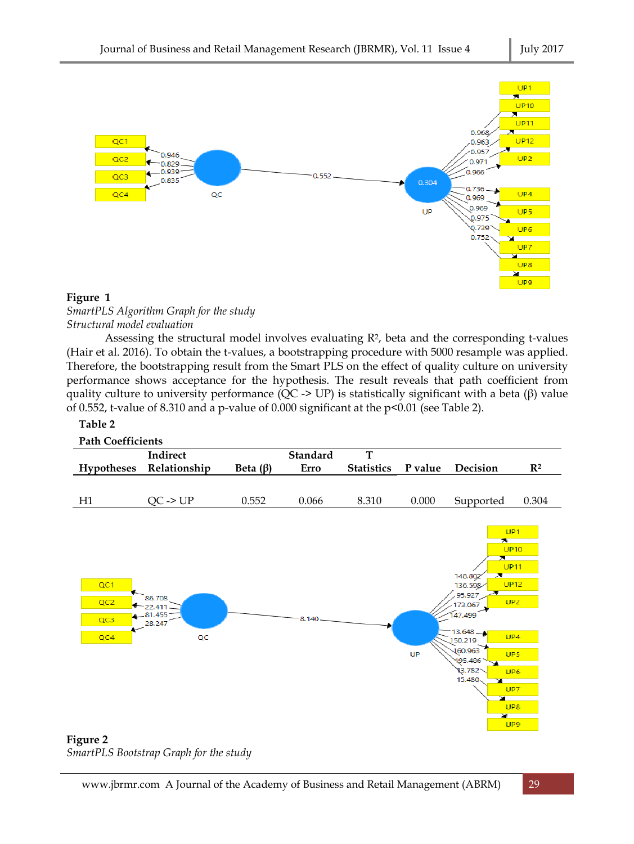

## **Figure 1**

# *SmartPLS Algorithm Graph for the study Structural model evaluation*

Assessing the structural model involves evaluating  $R^2$ , beta and the corresponding t-values (Hair et al. 2016). To obtain the t-values, a bootstrapping procedure with 5000 resample was applied. Therefore, the bootstrapping result from the Smart PLS on the effect of quality culture on university performance shows acceptance for the hypothesis. The result reveals that path coefficient from quality culture to university performance (QC -> UP) is statistically significant with a beta ( $\beta$ ) value of 0.552, t-value of 8.310 and a p-value of 0.000 significant at the p<0.01 (see Table 2).

## **Table 2**



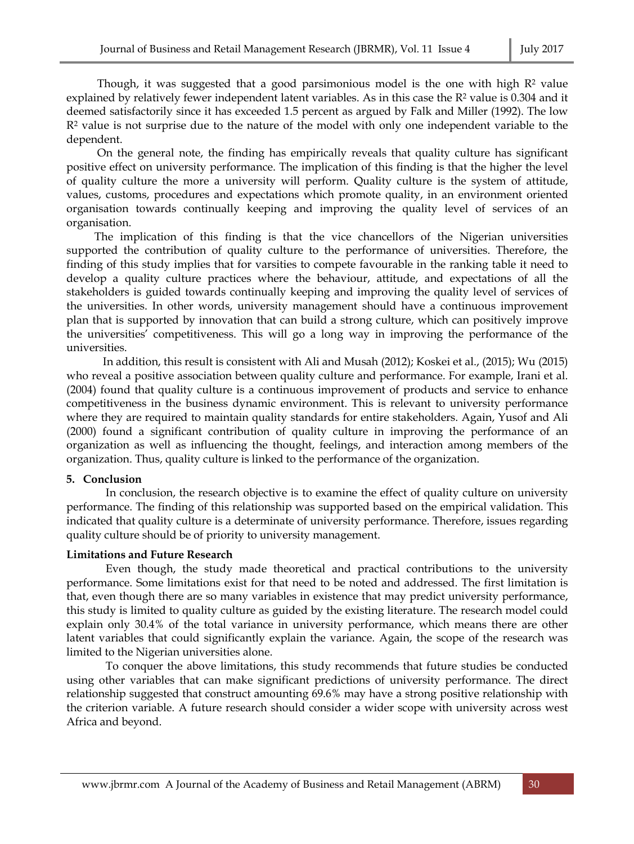Though, it was suggested that a good parsimonious model is the one with high  $\mathbb{R}^2$  value explained by relatively fewer independent latent variables. As in this case the R<sup>2</sup> value is 0.304 and it deemed satisfactorily since it has exceeded 1.5 percent as argued by Falk and Miller (1992). The low R2 value is not surprise due to the nature of the model with only one independent variable to the dependent.

 On the general note, the finding has empirically reveals that quality culture has significant positive effect on university performance. The implication of this finding is that the higher the level of quality culture the more a university will perform. Quality culture is the system of attitude, values, customs, procedures and expectations which promote quality, in an environment oriented organisation towards continually keeping and improving the quality level of services of an organisation.

 The implication of this finding is that the vice chancellors of the Nigerian universities supported the contribution of quality culture to the performance of universities. Therefore, the finding of this study implies that for varsities to compete favourable in the ranking table it need to develop a quality culture practices where the behaviour, attitude, and expectations of all the stakeholders is guided towards continually keeping and improving the quality level of services of the universities. In other words, university management should have a continuous improvement plan that is supported by innovation that can build a strong culture, which can positively improve the universities' competitiveness. This will go a long way in improving the performance of the universities.

 In addition, this result is consistent with Ali and Musah (2012); Koskei et al., (2015); Wu (2015) who reveal a positive association between quality culture and performance. For example, Irani et al. (2004) found that quality culture is a continuous improvement of products and service to enhance competitiveness in the business dynamic environment. This is relevant to university performance where they are required to maintain quality standards for entire stakeholders. Again, Yusof and Ali (2000) found a significant contribution of quality culture in improving the performance of an organization as well as influencing the thought, feelings, and interaction among members of the organization. Thus, quality culture is linked to the performance of the organization.

## **5. Conclusion**

 In conclusion, the research objective is to examine the effect of quality culture on university performance. The finding of this relationship was supported based on the empirical validation. This indicated that quality culture is a determinate of university performance. Therefore, issues regarding quality culture should be of priority to university management.

## **Limitations and Future Research**

 Even though, the study made theoretical and practical contributions to the university performance. Some limitations exist for that need to be noted and addressed. The first limitation is that, even though there are so many variables in existence that may predict university performance, this study is limited to quality culture as guided by the existing literature. The research model could explain only 30.4% of the total variance in university performance, which means there are other latent variables that could significantly explain the variance. Again, the scope of the research was limited to the Nigerian universities alone.

 To conquer the above limitations, this study recommends that future studies be conducted using other variables that can make significant predictions of university performance. The direct relationship suggested that construct amounting 69.6% may have a strong positive relationship with the criterion variable. A future research should consider a wider scope with university across west Africa and beyond.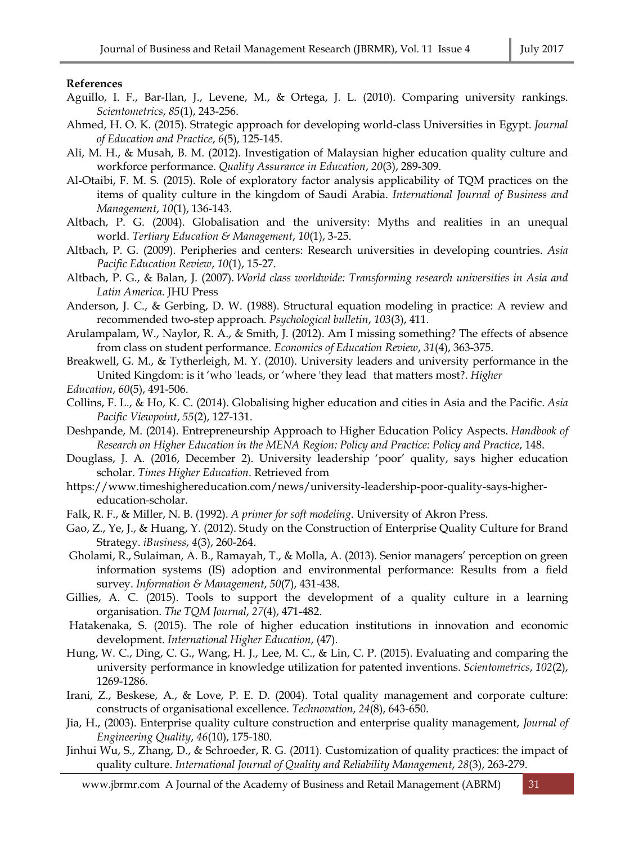## **References**

- Aguillo, I. F., Bar-Ilan, J., Levene, M., & Ortega, J. L. (2010). Comparing university rankings. *Scientometrics*, *85*(1), 243-256.
- Ahmed, H. O. K. (2015). Strategic approach for developing world-class Universities in Egypt. *Journal of Education and Practice*, *6*(5), 125-145.
- Ali, M. H., & Musah, B. M. (2012). Investigation of Malaysian higher education quality culture and workforce performance. *Quality Assurance in Education*, *20*(3), 289-309.
- Al-Otaibi, F. M. S. (2015). Role of exploratory factor analysis applicability of TQM practices on the items of quality culture in the kingdom of Saudi Arabia. *International Journal of Business and Management*, *10*(1), 136-143.
- Altbach, P. G. (2004). Globalisation and the university: Myths and realities in an unequal world. *Tertiary Education & Management*, *10*(1), 3-25.
- Altbach, P. G. (2009). Peripheries and centers: Research universities in developing countries. *Asia Pacific Education Review*, *10*(1), 15-27.
- Altbach, P. G., & Balan, J. (2007). *World class worldwide: Transforming research universities in Asia and Latin America*. JHU Press
- Anderson, J. C., & Gerbing, D. W. (1988). Structural equation modeling in practice: A review and recommended two-step approach. *Psychological bulletin*, *103*(3), 411.
- Arulampalam, W., Naylor, R. A., & Smith, J. (2012). Am I missing something? The effects of absence from class on student performance. *Economics of Education Review*, *31*(4), 363-375.
- Breakwell, G. M., & Tytherleigh, M. Y. (2010). University leaders and university performance in the United Kingdom: is it 'who 'leads, or 'where 'they lead that matters most?. *Higher*
- *Education*, *60*(5), 491-506.
- Collins, F. L., & Ho, K. C. (2014). Globalising higher education and cities in Asia and the Pacific. *Asia Pacific Viewpoint*, *55*(2), 127-131.
- Deshpande, M. (2014). Entrepreneurship Approach to Higher Education Policy Aspects. *Handbook of Research on Higher Education in the MENA Region: Policy and Practice: Policy and Practice*, 148.
- Douglass, J. A. (2016, December 2). University leadership 'poor' quality, says higher education scholar. *Times Higher Education*. Retrieved from
- https://www.timeshighereducation.com/news/university-leadership-poor-quality-says-highereducation-scholar.
- Falk, R. F., & Miller, N. B. (1992). *A primer for soft modeling*. University of Akron Press.
- Gao, Z., Ye, J., & Huang, Y. (2012). Study on the Construction of Enterprise Quality Culture for Brand Strategy. *iBusiness*, *4*(3), 260-264.
- Gholami, R., Sulaiman, A. B., Ramayah, T., & Molla, A. (2013). Senior managers' perception on green information systems (IS) adoption and environmental performance: Results from a field survey. *Information & Management*, *50*(7), 431-438.
- Gillies, A. C. (2015). Tools to support the development of a quality culture in a learning organisation. *The TQM Journal*, *27*(4), 471-482.
- Hatakenaka, S. (2015). The role of higher education institutions in innovation and economic development. *International Higher Education*, (47).
- Hung, W. C., Ding, C. G., Wang, H. J., Lee, M. C., & Lin, C. P. (2015). Evaluating and comparing the university performance in knowledge utilization for patented inventions. *Scientometrics*, *102*(2), 1269-1286.
- Irani, Z., Beskese, A., & Love, P. E. D. (2004). Total quality management and corporate culture: constructs of organisational excellence. *Technovation*, *24*(8), 643-650.
- Jia, H., (2003). Enterprise quality culture construction and enterprise quality management, *Journal of Engineering Quality*, *46*(10), 175-180.
- Jinhui Wu, S., Zhang, D., & Schroeder, R. G. (2011). Customization of quality practices: the impact of quality culture. *International Journal of Quality and Reliability Management*, *28*(3), 263-279.

www.jbrmr.com A Journal of the Academy of Business and Retail Management (ABRM) 31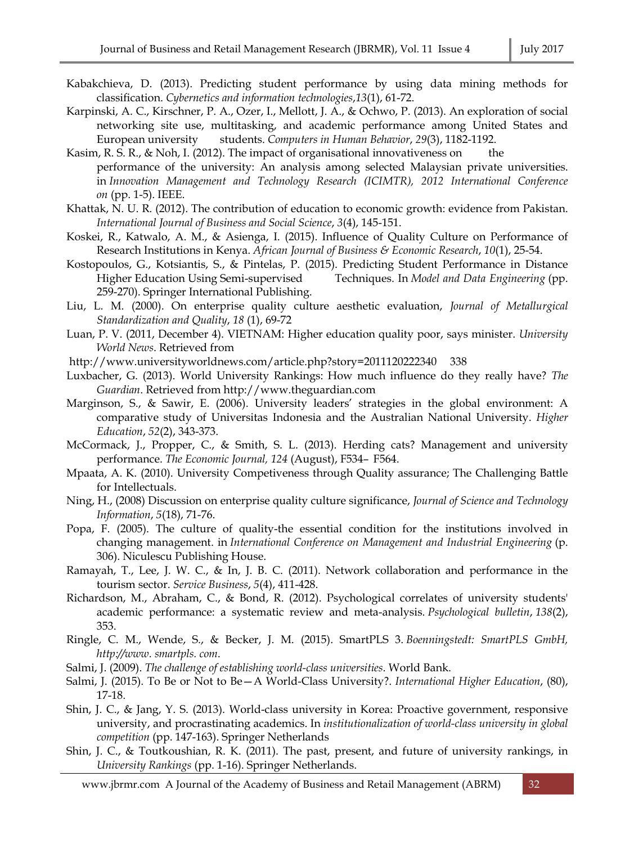- Kabakchieva, D. (2013). Predicting student performance by using data mining methods for classification. *Cybernetics and information technologies*,*13*(1), 61-72.
- Karpinski, A. C., Kirschner, P. A., Ozer, I., Mellott, J. A., & Ochwo, P. (2013). An exploration of social networking site use, multitasking, and academic performance among United States and European university students. *Computers in Human Behavior*, *29*(3), 1182-1192.
- Kasim, R. S. R., & Noh, I. (2012). The impact of organisational innovativeness on the performance of the university: An analysis among selected Malaysian private universities. in *Innovation Management and Technology Research (ICIMTR), 2012 International Conference on* (pp. 1-5). IEEE.
- Khattak, N. U. R. (2012). The contribution of education to economic growth: evidence from Pakistan. *International Journal of Business and Social Science*, *3*(4), 145-151.
- Koskei, R., Katwalo, A. M., & Asienga, I. (2015). Influence of Quality Culture on Performance of Research Institutions in Kenya. *African Journal of Business & Economic Research*, *10*(1), 25-54.
- Kostopoulos, G., Kotsiantis, S., & Pintelas, P. (2015). Predicting Student Performance in Distance Higher Education Using Semi-supervised Techniques. In *Model and Data Engineering* (pp. 259-270). Springer International Publishing.
- Liu, L. M. (2000). On enterprise quality culture aesthetic evaluation, *Journal of Metallurgical Standardization and Quality*, *18* (1), 69-72
- Luan, P. V. (2011, December 4). VIETNAM: Higher education quality poor, says minister. *University World News*. Retrieved from
- http://www.universityworldnews.com/article.php?story=2011120222340 338
- Luxbacher, G. (2013). World University Rankings: How much influence do they really have? *The Guardian*. Retrieved from http://www.theguardian.com
- Marginson, S., & Sawir, E. (2006). University leaders' strategies in the global environment: A comparative study of Universitas Indonesia and the Australian National University. *Higher Education*, *52*(2), 343-373.
- McCormack, J., Propper, C., & Smith, S. L. (2013). Herding cats? Management and university performance. *The Economic Journal, 124* (August), F534– F564.
- Mpaata, A. K. (2010). University Competiveness through Quality assurance; The Challenging Battle for Intellectuals.
- Ning, H., (2008) Discussion on enterprise quality culture significance, *Journal of Science and Technology Information*, *5*(18), 71-76.
- Popa, F. (2005). The culture of quality-the essential condition for the institutions involved in changing management. in *International Conference on Management and Industrial Engineering* (p. 306). Niculescu Publishing House.
- Ramayah, T., Lee, J. W. C., & In, J. B. C. (2011). Network collaboration and performance in the tourism sector. *Service Business*, *5*(4), 411-428.
- Richardson, M., Abraham, C., & Bond, R. (2012). Psychological correlates of university students' academic performance: a systematic review and meta-analysis. *Psychological bulletin*, *138*(2), 353.
- Ringle, C. M., Wende, S., & Becker, J. M. (2015). SmartPLS 3. *Boenningstedt: SmartPLS GmbH, http://www. smartpls. com*.
- Salmi, J. (2009). *The challenge of establishing world-class universities*. World Bank.
- Salmi, J. (2015). To Be or Not to Be—A World-Class University?. *International Higher Education*, (80), 17-18.
- Shin, J. C., & Jang, Y. S. (2013). World-class university in Korea: Proactive government, responsive university, and procrastinating academics. In *institutionalization of world-class university in global competition* (pp. 147-163). Springer Netherlands
- Shin, J. C., & Toutkoushian, R. K. (2011). The past, present, and future of university rankings, in *University Rankings* (pp. 1-16). Springer Netherlands.

www.jbrmr.com A Journal of the Academy of Business and Retail Management (ABRM) 32